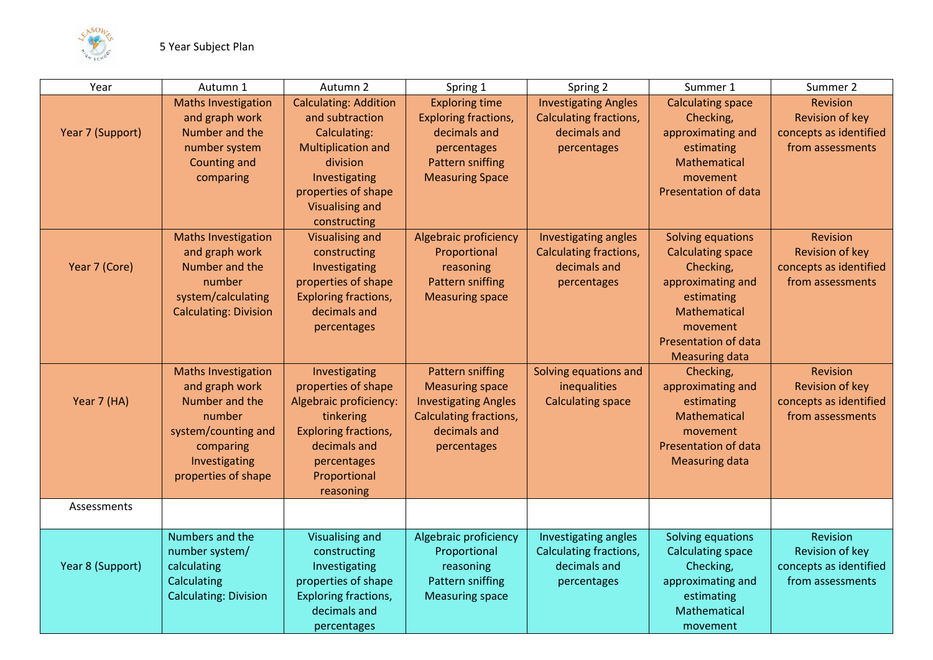

| Year             | Autumn 1                                                                                                                                             | Autumn 2                                                                                                                                                                                   | Spring 1                                                                                                                                         | Spring 2                                                                                    | Summer 1                                                                                                                                                                   | Summer 2                                                                         |
|------------------|------------------------------------------------------------------------------------------------------------------------------------------------------|--------------------------------------------------------------------------------------------------------------------------------------------------------------------------------------------|--------------------------------------------------------------------------------------------------------------------------------------------------|---------------------------------------------------------------------------------------------|----------------------------------------------------------------------------------------------------------------------------------------------------------------------------|----------------------------------------------------------------------------------|
| Year 7 (Support) | <b>Maths Investigation</b><br>and graph work<br>Number and the<br>number system<br><b>Counting and</b><br>comparing                                  | <b>Calculating: Addition</b><br>and subtraction<br>Calculating:<br><b>Multiplication and</b><br>division<br>Investigating<br>properties of shape<br><b>Visualising and</b><br>constructing | <b>Exploring time</b><br>Exploring fractions,<br>decimals and<br>percentages<br>Pattern sniffing<br><b>Measuring Space</b>                       | <b>Investigating Angles</b><br><b>Calculating fractions,</b><br>decimals and<br>percentages | <b>Calculating space</b><br>Checking,<br>approximating and<br>estimating<br>Mathematical<br>movement<br>Presentation of data                                               | <b>Revision</b><br>Revision of key<br>concepts as identified<br>from assessments |
| Year 7 (Core)    | <b>Maths Investigation</b><br>and graph work<br>Number and the<br>number<br>system/calculating<br><b>Calculating: Division</b>                       | <b>Visualising and</b><br>constructing<br>Investigating<br>properties of shape<br>Exploring fractions,<br>decimals and<br>percentages                                                      | Algebraic proficiency<br>Proportional<br>reasoning<br><b>Pattern sniffing</b><br><b>Measuring space</b>                                          | Investigating angles<br><b>Calculating fractions,</b><br>decimals and<br>percentages        | Solving equations<br><b>Calculating space</b><br>Checking,<br>approximating and<br>estimating<br>Mathematical<br>movement<br>Presentation of data<br><b>Measuring data</b> | <b>Revision</b><br>Revision of key<br>concepts as identified<br>from assessments |
| Year 7 (HA)      | <b>Maths Investigation</b><br>and graph work<br>Number and the<br>number<br>system/counting and<br>comparing<br>Investigating<br>properties of shape | Investigating<br>properties of shape<br>Algebraic proficiency:<br>tinkering<br>Exploring fractions,<br>decimals and<br>percentages<br>Proportional<br>reasoning                            | <b>Pattern sniffing</b><br><b>Measuring space</b><br><b>Investigating Angles</b><br><b>Calculating fractions,</b><br>decimals and<br>percentages | Solving equations and<br>inequalities<br><b>Calculating space</b>                           | Checking,<br>approximating and<br>estimating<br>Mathematical<br>movement<br>Presentation of data<br><b>Measuring data</b>                                                  | <b>Revision</b><br>Revision of key<br>concepts as identified<br>from assessments |
| Assessments      |                                                                                                                                                      |                                                                                                                                                                                            |                                                                                                                                                  |                                                                                             |                                                                                                                                                                            |                                                                                  |
| Year 8 (Support) | Numbers and the<br>number system/<br>calculating<br>Calculating<br><b>Calculating: Division</b>                                                      | <b>Visualising and</b><br>constructing<br>Investigating<br>properties of shape<br>Exploring fractions,<br>decimals and<br>percentages                                                      | Algebraic proficiency<br>Proportional<br>reasoning<br>Pattern sniffing<br><b>Measuring space</b>                                                 | Investigating angles<br>Calculating fractions,<br>decimals and<br>percentages               | Solving equations<br><b>Calculating space</b><br>Checking,<br>approximating and<br>estimating<br>Mathematical<br>movement                                                  | Revision<br>Revision of key<br>concepts as identified<br>from assessments        |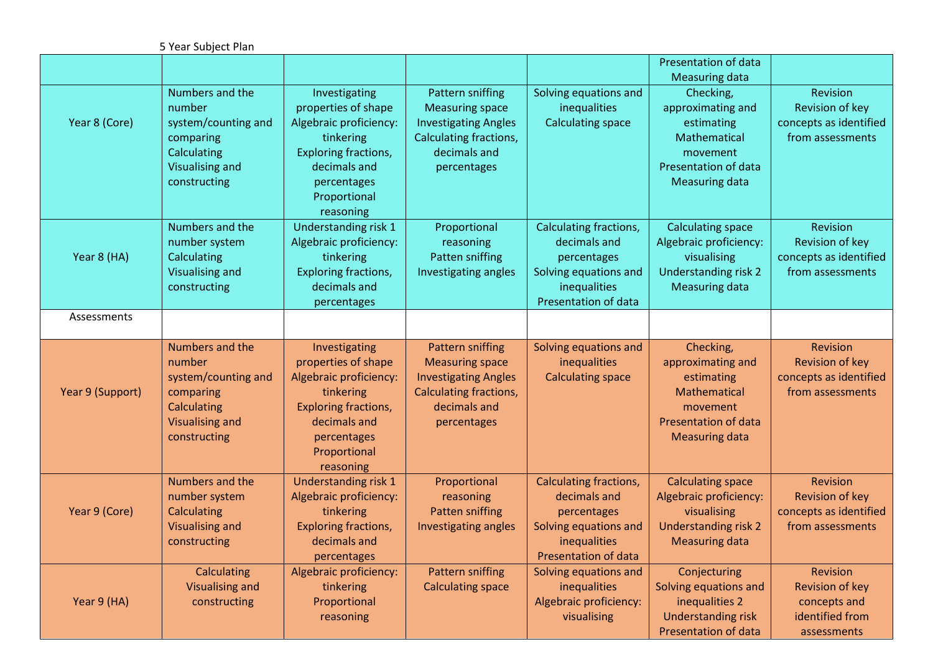|                  | 5 Year Subject Plan                                                                                                    |                                                                                                                                                                        |                                                                                                                                                  |                                                                                                                        |                                                                                                                                  |                                                                                         |
|------------------|------------------------------------------------------------------------------------------------------------------------|------------------------------------------------------------------------------------------------------------------------------------------------------------------------|--------------------------------------------------------------------------------------------------------------------------------------------------|------------------------------------------------------------------------------------------------------------------------|----------------------------------------------------------------------------------------------------------------------------------|-----------------------------------------------------------------------------------------|
|                  |                                                                                                                        |                                                                                                                                                                        |                                                                                                                                                  |                                                                                                                        | Presentation of data<br><b>Measuring data</b>                                                                                    |                                                                                         |
| Year 8 (Core)    | Numbers and the<br>number<br>system/counting and<br>comparing<br>Calculating<br>Visualising and<br>constructing        | Investigating<br>properties of shape<br>Algebraic proficiency:<br>tinkering<br>Exploring fractions,<br>decimals and<br>percentages<br>Proportional<br>reasoning        | Pattern sniffing<br><b>Measuring space</b><br><b>Investigating Angles</b><br>Calculating fractions,<br>decimals and<br>percentages               | Solving equations and<br>inequalities<br><b>Calculating space</b>                                                      | Checking,<br>approximating and<br>estimating<br>Mathematical<br>movement<br>Presentation of data<br><b>Measuring data</b>        | Revision<br>Revision of key<br>concepts as identified<br>from assessments               |
| Year 8 (HA)      | Numbers and the<br>number system<br>Calculating<br><b>Visualising and</b><br>constructing                              | Understanding risk 1<br>Algebraic proficiency:<br>tinkering<br>Exploring fractions,<br>decimals and<br>percentages                                                     | Proportional<br>reasoning<br>Patten sniffing<br>Investigating angles                                                                             | Calculating fractions,<br>decimals and<br>percentages<br>Solving equations and<br>inequalities<br>Presentation of data | <b>Calculating space</b><br>Algebraic proficiency:<br>visualising<br>Understanding risk 2<br><b>Measuring data</b>               | Revision<br>Revision of key<br>concepts as identified<br>from assessments               |
| Assessments      |                                                                                                                        |                                                                                                                                                                        |                                                                                                                                                  |                                                                                                                        |                                                                                                                                  |                                                                                         |
| Year 9 (Support) | Numbers and the<br>number<br>system/counting and<br>comparing<br>Calculating<br><b>Visualising and</b><br>constructing | Investigating<br>properties of shape<br>Algebraic proficiency:<br>tinkering<br><b>Exploring fractions,</b><br>decimals and<br>percentages<br>Proportional<br>reasoning | <b>Pattern sniffing</b><br><b>Measuring space</b><br><b>Investigating Angles</b><br><b>Calculating fractions,</b><br>decimals and<br>percentages | Solving equations and<br>inequalities<br><b>Calculating space</b>                                                      | Checking,<br>approximating and<br>estimating<br>Mathematical<br>movement<br><b>Presentation of data</b><br><b>Measuring data</b> | <b>Revision</b><br>Revision of key<br>concepts as identified<br>from assessments        |
| Year 9 (Core)    | Numbers and the<br>number system<br>Calculating<br><b>Visualising and</b><br>constructing                              | Understanding risk 1<br>Algebraic proficiency:<br>tinkering<br><b>Exploring fractions,</b><br>decimals and<br>percentages                                              | Proportional<br>reasoning<br><b>Patten sniffing</b><br>Investigating angles                                                                      | Calculating fractions,<br>decimals and<br>percentages<br>Solving equations and<br>inequalities<br>Presentation of data | <b>Calculating space</b><br>Algebraic proficiency:<br>visualising<br><b>Understanding risk 2</b><br><b>Measuring data</b>        | <b>Revision</b><br><b>Revision of key</b><br>concepts as identified<br>from assessments |
| Year 9 (HA)      | Calculating<br><b>Visualising and</b><br>constructing                                                                  | Algebraic proficiency:<br>tinkering<br>Proportional<br>reasoning                                                                                                       | <b>Pattern sniffing</b><br><b>Calculating space</b>                                                                                              | Solving equations and<br>inequalities<br>Algebraic proficiency:<br>visualising                                         | Conjecturing<br>Solving equations and<br>inequalities 2<br><b>Understanding risk</b><br>Presentation of data                     | <b>Revision</b><br>Revision of key<br>concepts and<br>identified from<br>assessments    |